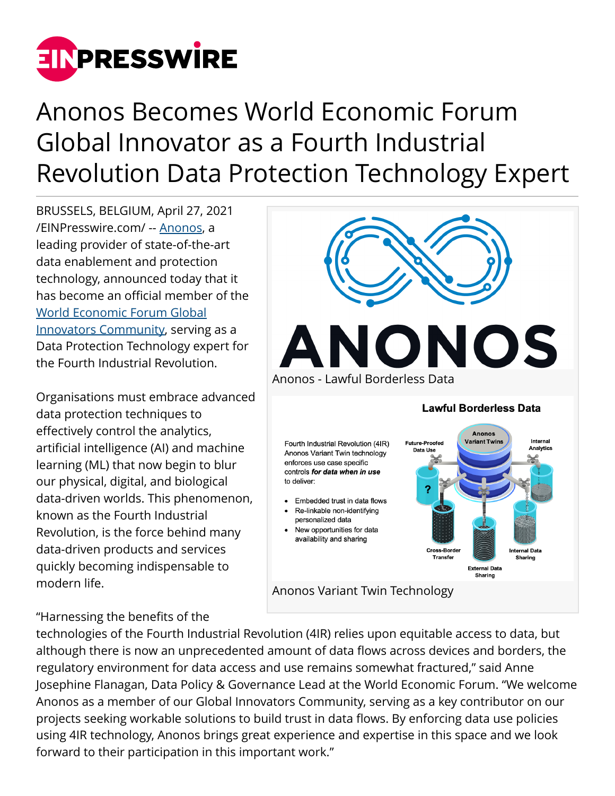

## Anonos Becomes World Economic Forum Global Innovator as a Fourth Industrial Revolution Data Protection Technology Expert

BRUSSELS, BELGIUM, April 27, 2021 [/EINPresswire.com/](http://www.einpresswire.com) -- [Anonos](http://www.anonos.com/), a leading provider of state-of-the-art data enablement and protection technology, announced today that it has become an official member of the [World Economic Forum Global](https://www.weforum.org/organizations/anonos) [Innovators Community](https://www.weforum.org/organizations/anonos), serving as a Data Protection Technology expert for the Fourth Industrial Revolution.

Organisations must embrace advanced data protection techniques to effectively control the analytics, artificial intelligence (AI) and machine learning (ML) that now begin to blur our physical, digital, and biological data-driven worlds. This phenomenon, known as the Fourth Industrial Revolution, is the force behind many data-driven products and services quickly becoming indispensable to modern life.

## "Harnessing the benefits of the



technologies of the Fourth Industrial Revolution (4IR) relies upon equitable access to data, but although there is now an unprecedented amount of data flows across devices and borders, the regulatory environment for data access and use remains somewhat fractured," said Anne Josephine Flanagan, Data Policy & Governance Lead at the World Economic Forum. "We welcome Anonos as a member of our Global Innovators Community, serving as a key contributor on our projects seeking workable solutions to build trust in data flows. By enforcing data use policies using 4IR technology, Anonos brings great experience and expertise in this space and we look forward to their participation in this important work."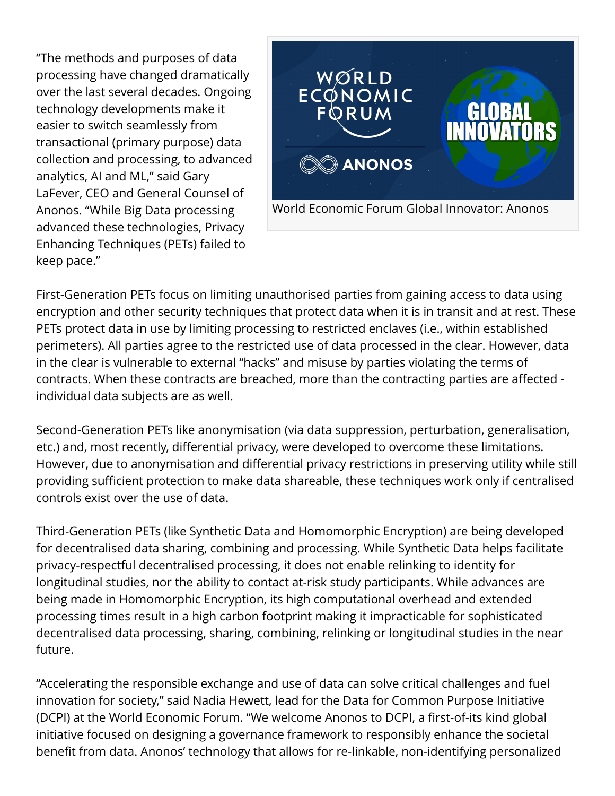"The methods and purposes of data processing have changed dramatically over the last several decades. Ongoing technology developments make it easier to switch seamlessly from transactional (primary purpose) data collection and processing, to advanced analytics, AI and ML," said Gary LaFever, CEO and General Counsel of Anonos. "While Big Data processing advanced these technologies, Privacy Enhancing Techniques (PETs) failed to keep pace."



First-Generation PETs focus on limiting unauthorised parties from gaining access to data using encryption and other security techniques that protect data when it is in transit and at rest. These PETs protect data in use by limiting processing to restricted enclaves (i.e., within established perimeters). All parties agree to the restricted use of data processed in the clear. However, data in the clear is vulnerable to external "hacks" and misuse by parties violating the terms of contracts. When these contracts are breached, more than the contracting parties are affected individual data subjects are as well.

Second-Generation PETs like anonymisation (via data suppression, perturbation, generalisation, etc.) and, most recently, differential privacy, were developed to overcome these limitations. However, due to anonymisation and differential privacy restrictions in preserving utility while still providing sufficient protection to make data shareable, these techniques work only if centralised controls exist over the use of data.

Third-Generation PETs (like Synthetic Data and Homomorphic Encryption) are being developed for decentralised data sharing, combining and processing. While Synthetic Data helps facilitate privacy-respectful decentralised processing, it does not enable relinking to identity for longitudinal studies, nor the ability to contact at-risk study participants. While advances are being made in Homomorphic Encryption, its high computational overhead and extended processing times result in a high carbon footprint making it impracticable for sophisticated decentralised data processing, sharing, combining, relinking or longitudinal studies in the near future.

"Accelerating the responsible exchange and use of data can solve critical challenges and fuel innovation for society," said Nadia Hewett, lead for the Data for Common Purpose Initiative (DCPI) at the World Economic Forum. "We welcome Anonos to DCPI, a first-of-its kind global initiative focused on designing a governance framework to responsibly enhance the societal benefit from data. Anonos' technology that allows for re-linkable, non-identifying personalized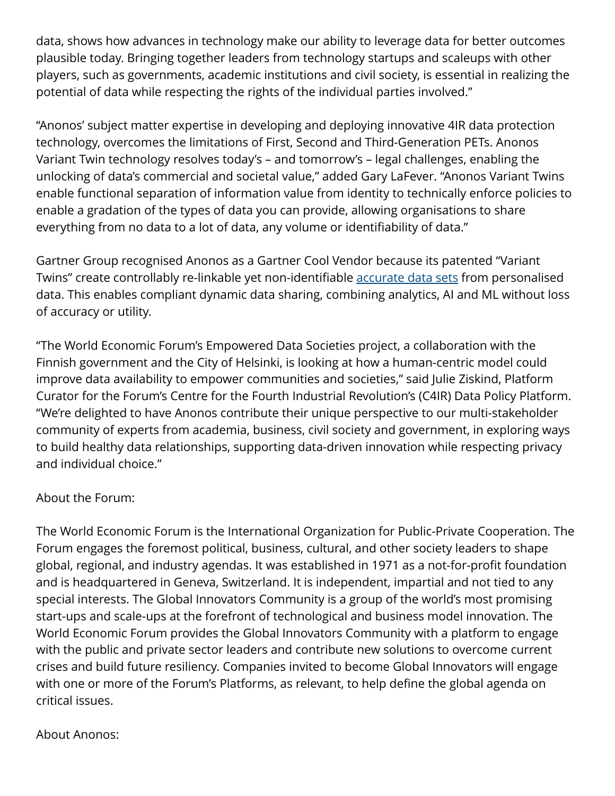data, shows how advances in technology make our ability to leverage data for better outcomes plausible today. Bringing together leaders from technology startups and scaleups with other players, such as governments, academic institutions and civil society, is essential in realizing the potential of data while respecting the rights of the individual parties involved."

"Anonos' subject matter expertise in developing and deploying innovative 4IR data protection technology, overcomes the limitations of First, Second and Third-Generation PETs. Anonos Variant Twin technology resolves today's – and tomorrow's – legal challenges, enabling the unlocking of data's commercial and societal value," added Gary LaFever. "Anonos Variant Twins enable functional separation of information value from identity to technically enforce policies to enable a gradation of the types of data you can provide, allowing organisations to share everything from no data to a lot of data, any volume or identifiability of data."

Gartner Group recognised Anonos as a Gartner Cool Vendor because its patented "Variant Twins" create controllably re-linkable yet non-identifiable [accurate data sets](https://www.anonos.com/data-scientist-expert-opinion) from personalised data. This enables compliant dynamic data sharing, combining analytics, AI and ML without loss of accuracy or utility.

"The World Economic Forum's Empowered Data Societies project, a collaboration with the Finnish government and the City of Helsinki, is looking at how a human-centric model could improve data availability to empower communities and societies," said Julie Ziskind, Platform Curator for the Forum's Centre for the Fourth Industrial Revolution's (C4IR) Data Policy Platform. "We're delighted to have Anonos contribute their unique perspective to our multi-stakeholder community of experts from academia, business, civil society and government, in exploring ways to build healthy data relationships, supporting data-driven innovation while respecting privacy and individual choice."

## About the Forum:

The World Economic Forum is the International Organization for Public-Private Cooperation. The Forum engages the foremost political, business, cultural, and other society leaders to shape global, regional, and industry agendas. It was established in 1971 as a not-for-profit foundation and is headquartered in Geneva, Switzerland. It is independent, impartial and not tied to any special interests. The Global Innovators Community is a group of the world's most promising start-ups and scale-ups at the forefront of technological and business model innovation. The World Economic Forum provides the Global Innovators Community with a platform to engage with the public and private sector leaders and contribute new solutions to overcome current crises and build future resiliency. Companies invited to become Global Innovators will engage with one or more of the Forum's Platforms, as relevant, to help define the global agenda on critical issues.

## About Anonos: